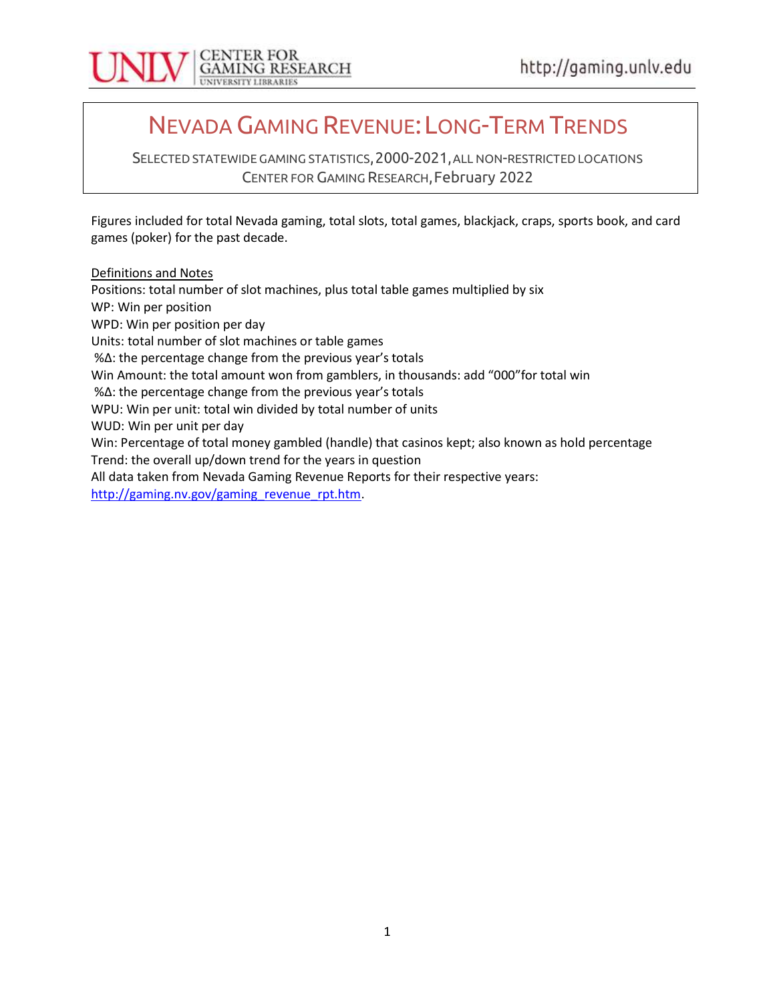

# NEVADA GAMING REVENUE: LONG-TERM TRENDS

SELECTED STATEWIDE GAMING STATISTICS, 2000-2021, ALL NON-RESTRICTED LOCATIONS CENTER FOR GAMING RESEARCH, February 2022

Figures included for total Nevada gaming, total slots, total games, blackjack, craps, sports book, and card games (poker) for the past decade.

Definitions and Notes

Positions: total number of slot machines, plus total table games multiplied by six WP: Win per position WPD: Win per position per day Units: total number of slot machines or table games %Δ: the percentage change from the previous year's totals Win Amount: the total amount won from gamblers, in thousands: add "000"for total win %Δ: the percentage change from the previous year's totals WPU: Win per unit: total win divided by total number of units WUD: Win per unit per day Win: Percentage of total money gambled (handle) that casinos kept; also known as hold percentage Trend: the overall up/down trend for the years in question All data taken from Nevada Gaming Revenue Reports for their respective years: http://gaming.nv.gov/gaming\_revenue\_rpt.htm.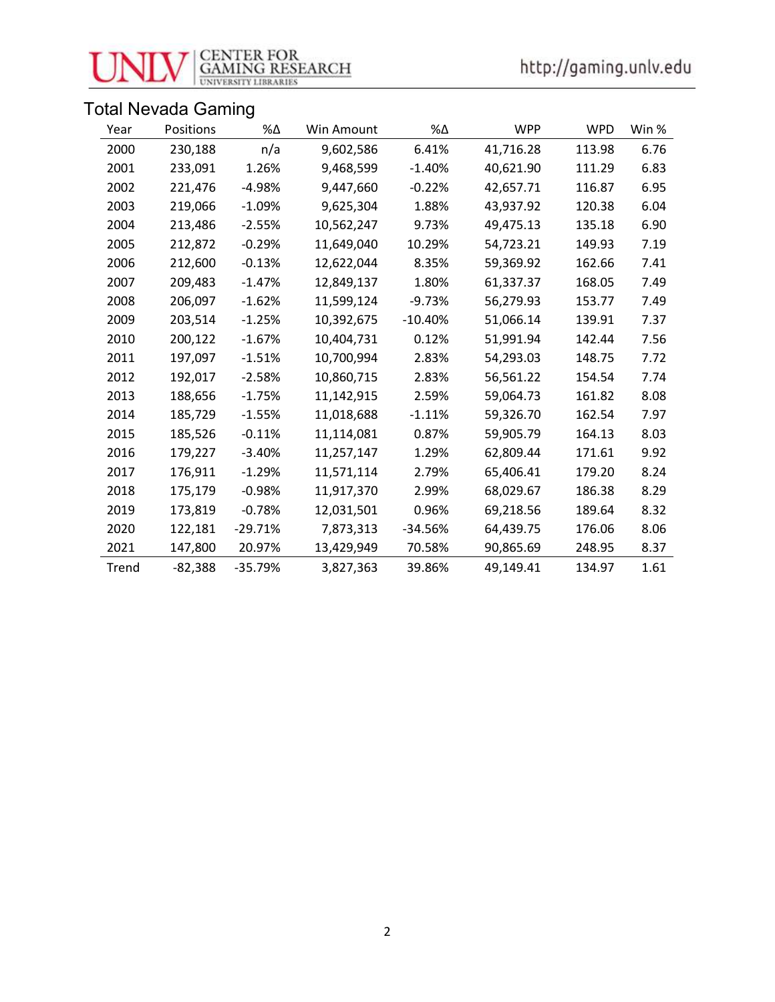

# **CENTER FOR<br>GAMING RESEARCH**<br>UNIVERSITY LIBRARIES

# Total Nevada Gaming

| Year  | Positions | %Δ        | Win Amount | $\%\Delta$ | <b>WPP</b> | <b>WPD</b> | Win % |
|-------|-----------|-----------|------------|------------|------------|------------|-------|
| 2000  | 230,188   | n/a       | 9,602,586  | 6.41%      | 41,716.28  | 113.98     | 6.76  |
| 2001  | 233,091   | 1.26%     | 9,468,599  | $-1.40%$   | 40,621.90  | 111.29     | 6.83  |
| 2002  | 221,476   | $-4.98%$  | 9,447,660  | $-0.22%$   | 42,657.71  | 116.87     | 6.95  |
| 2003  | 219,066   | $-1.09%$  | 9,625,304  | 1.88%      | 43,937.92  | 120.38     | 6.04  |
| 2004  | 213,486   | $-2.55%$  | 10,562,247 | 9.73%      | 49,475.13  | 135.18     | 6.90  |
| 2005  | 212,872   | $-0.29%$  | 11,649,040 | 10.29%     | 54,723.21  | 149.93     | 7.19  |
| 2006  | 212,600   | $-0.13%$  | 12,622,044 | 8.35%      | 59,369.92  | 162.66     | 7.41  |
| 2007  | 209,483   | $-1.47\%$ | 12,849,137 | 1.80%      | 61,337.37  | 168.05     | 7.49  |
| 2008  | 206,097   | $-1.62%$  | 11,599,124 | $-9.73%$   | 56,279.93  | 153.77     | 7.49  |
| 2009  | 203,514   | $-1.25%$  | 10,392,675 | $-10.40%$  | 51,066.14  | 139.91     | 7.37  |
| 2010  | 200,122   | $-1.67%$  | 10,404,731 | 0.12%      | 51,991.94  | 142.44     | 7.56  |
| 2011  | 197,097   | $-1.51%$  | 10,700,994 | 2.83%      | 54,293.03  | 148.75     | 7.72  |
| 2012  | 192,017   | $-2.58%$  | 10,860,715 | 2.83%      | 56,561.22  | 154.54     | 7.74  |
| 2013  | 188,656   | $-1.75%$  | 11,142,915 | 2.59%      | 59,064.73  | 161.82     | 8.08  |
| 2014  | 185,729   | $-1.55\%$ | 11,018,688 | $-1.11%$   | 59,326.70  | 162.54     | 7.97  |
| 2015  | 185,526   | $-0.11%$  | 11,114,081 | 0.87%      | 59,905.79  | 164.13     | 8.03  |
| 2016  | 179,227   | $-3.40\%$ | 11,257,147 | 1.29%      | 62,809.44  | 171.61     | 9.92  |
| 2017  | 176,911   | $-1.29%$  | 11,571,114 | 2.79%      | 65,406.41  | 179.20     | 8.24  |
| 2018  | 175,179   | $-0.98%$  | 11,917,370 | 2.99%      | 68,029.67  | 186.38     | 8.29  |
| 2019  | 173,819   | $-0.78%$  | 12,031,501 | 0.96%      | 69,218.56  | 189.64     | 8.32  |
| 2020  | 122,181   | $-29.71%$ | 7,873,313  | $-34.56%$  | 64,439.75  | 176.06     | 8.06  |
| 2021  | 147,800   | 20.97%    | 13,429,949 | 70.58%     | 90,865.69  | 248.95     | 8.37  |
| Trend | $-82,388$ | $-35.79%$ | 3,827,363  | 39.86%     | 49,149.41  | 134.97     | 1.61  |

2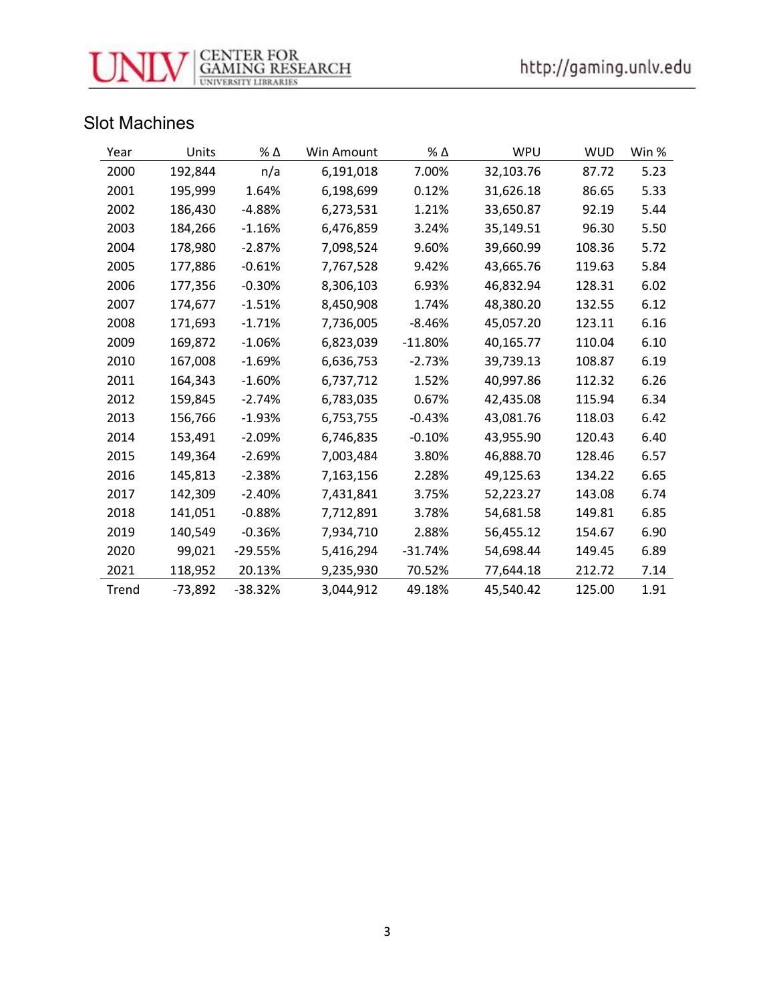

### Slot Machines

| Year  | Units     | $\%$ $\Delta$ | Win Amount | $\%$ $\Delta$ | WPU       | <b>WUD</b> | Win % |
|-------|-----------|---------------|------------|---------------|-----------|------------|-------|
| 2000  | 192,844   | n/a           | 6,191,018  | 7.00%         | 32,103.76 | 87.72      | 5.23  |
| 2001  | 195,999   | 1.64%         | 6,198,699  | 0.12%         | 31,626.18 | 86.65      | 5.33  |
| 2002  | 186,430   | $-4.88%$      | 6,273,531  | 1.21%         | 33,650.87 | 92.19      | 5.44  |
| 2003  | 184,266   | $-1.16%$      | 6,476,859  | 3.24%         | 35,149.51 | 96.30      | 5.50  |
| 2004  | 178,980   | $-2.87%$      | 7,098,524  | 9.60%         | 39,660.99 | 108.36     | 5.72  |
| 2005  | 177,886   | $-0.61%$      | 7,767,528  | 9.42%         | 43,665.76 | 119.63     | 5.84  |
| 2006  | 177,356   | $-0.30%$      | 8,306,103  | 6.93%         | 46,832.94 | 128.31     | 6.02  |
| 2007  | 174,677   | $-1.51%$      | 8,450,908  | 1.74%         | 48,380.20 | 132.55     | 6.12  |
| 2008  | 171,693   | $-1.71%$      | 7,736,005  | $-8.46%$      | 45,057.20 | 123.11     | 6.16  |
| 2009  | 169,872   | $-1.06%$      | 6,823,039  | $-11.80%$     | 40,165.77 | 110.04     | 6.10  |
| 2010  | 167,008   | $-1.69%$      | 6,636,753  | $-2.73%$      | 39,739.13 | 108.87     | 6.19  |
| 2011  | 164,343   | $-1.60%$      | 6,737,712  | 1.52%         | 40,997.86 | 112.32     | 6.26  |
| 2012  | 159,845   | $-2.74%$      | 6,783,035  | 0.67%         | 42,435.08 | 115.94     | 6.34  |
| 2013  | 156,766   | $-1.93%$      | 6,753,755  | $-0.43%$      | 43,081.76 | 118.03     | 6.42  |
| 2014  | 153,491   | $-2.09%$      | 6,746,835  | $-0.10%$      | 43,955.90 | 120.43     | 6.40  |
| 2015  | 149,364   | $-2.69%$      | 7,003,484  | 3.80%         | 46,888.70 | 128.46     | 6.57  |
| 2016  | 145,813   | $-2.38%$      | 7,163,156  | 2.28%         | 49,125.63 | 134.22     | 6.65  |
| 2017  | 142,309   | $-2.40%$      | 7,431,841  | 3.75%         | 52,223.27 | 143.08     | 6.74  |
| 2018  | 141,051   | $-0.88%$      | 7,712,891  | 3.78%         | 54,681.58 | 149.81     | 6.85  |
| 2019  | 140,549   | $-0.36%$      | 7,934,710  | 2.88%         | 56,455.12 | 154.67     | 6.90  |
| 2020  | 99,021    | $-29.55%$     | 5,416,294  | $-31.74%$     | 54,698.44 | 149.45     | 6.89  |
| 2021  | 118,952   | 20.13%        | 9,235,930  | 70.52%        | 77,644.18 | 212.72     | 7.14  |
| Trend | $-73,892$ | $-38.32%$     | 3,044,912  | 49.18%        | 45,540.42 | 125.00     | 1.91  |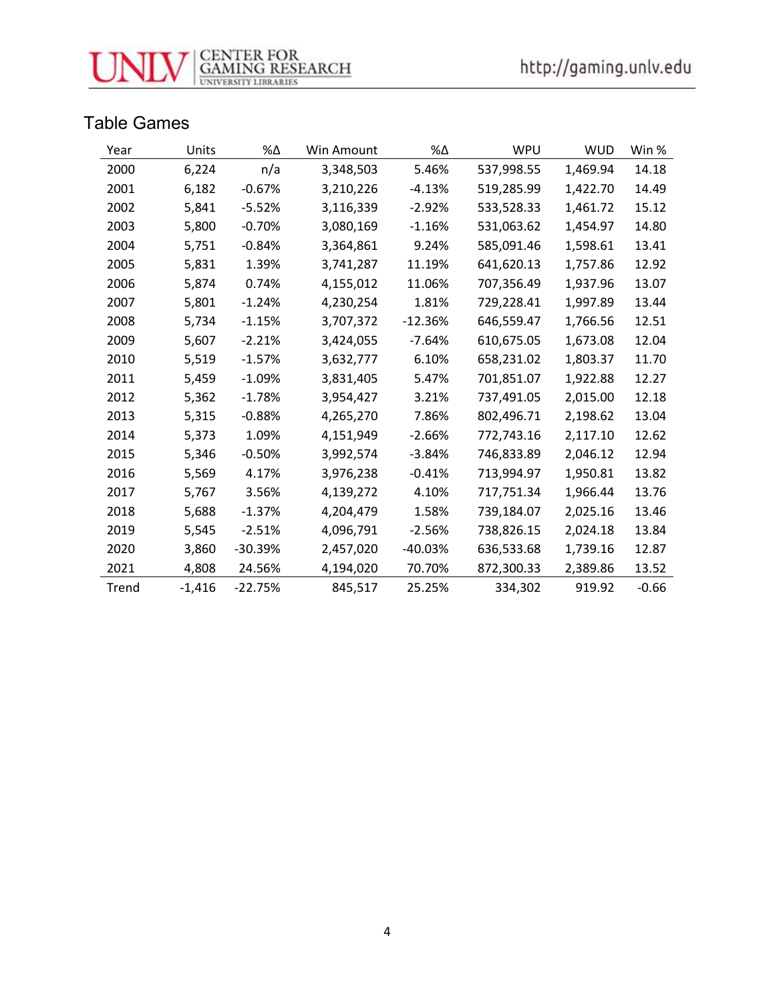

#### Table Games

| Year  | Units    | $\% \Delta$ | Win Amount | %Δ        | WPU        | <b>WUD</b> | Win %   |
|-------|----------|-------------|------------|-----------|------------|------------|---------|
| 2000  | 6,224    | n/a         | 3,348,503  | 5.46%     | 537,998.55 | 1,469.94   | 14.18   |
| 2001  | 6,182    | $-0.67%$    | 3,210,226  | $-4.13%$  | 519,285.99 | 1,422.70   | 14.49   |
| 2002  | 5,841    | $-5.52%$    | 3,116,339  | $-2.92%$  | 533,528.33 | 1,461.72   | 15.12   |
| 2003  | 5,800    | $-0.70%$    | 3,080,169  | $-1.16%$  | 531,063.62 | 1,454.97   | 14.80   |
| 2004  | 5,751    | $-0.84%$    | 3,364,861  | 9.24%     | 585,091.46 | 1,598.61   | 13.41   |
| 2005  | 5,831    | 1.39%       | 3,741,287  | 11.19%    | 641,620.13 | 1,757.86   | 12.92   |
| 2006  | 5,874    | 0.74%       | 4,155,012  | 11.06%    | 707,356.49 | 1,937.96   | 13.07   |
| 2007  | 5,801    | $-1.24%$    | 4,230,254  | 1.81%     | 729,228.41 | 1,997.89   | 13.44   |
| 2008  | 5,734    | $-1.15%$    | 3,707,372  | $-12.36%$ | 646,559.47 | 1,766.56   | 12.51   |
| 2009  | 5,607    | $-2.21%$    | 3,424,055  | $-7.64%$  | 610,675.05 | 1,673.08   | 12.04   |
| 2010  | 5,519    | $-1.57%$    | 3,632,777  | 6.10%     | 658,231.02 | 1,803.37   | 11.70   |
| 2011  | 5,459    | $-1.09%$    | 3,831,405  | 5.47%     | 701,851.07 | 1,922.88   | 12.27   |
| 2012  | 5,362    | $-1.78%$    | 3,954,427  | 3.21%     | 737,491.05 | 2,015.00   | 12.18   |
| 2013  | 5,315    | $-0.88%$    | 4,265,270  | 7.86%     | 802,496.71 | 2,198.62   | 13.04   |
| 2014  | 5,373    | 1.09%       | 4,151,949  | $-2.66%$  | 772,743.16 | 2,117.10   | 12.62   |
| 2015  | 5,346    | $-0.50%$    | 3,992,574  | $-3.84%$  | 746,833.89 | 2,046.12   | 12.94   |
| 2016  | 5,569    | 4.17%       | 3,976,238  | $-0.41%$  | 713,994.97 | 1,950.81   | 13.82   |
| 2017  | 5,767    | 3.56%       | 4,139,272  | 4.10%     | 717,751.34 | 1,966.44   | 13.76   |
| 2018  | 5,688    | $-1.37%$    | 4,204,479  | 1.58%     | 739,184.07 | 2,025.16   | 13.46   |
| 2019  | 5,545    | $-2.51%$    | 4,096,791  | $-2.56%$  | 738,826.15 | 2,024.18   | 13.84   |
| 2020  | 3,860    | $-30.39%$   | 2,457,020  | $-40.03%$ | 636,533.68 | 1,739.16   | 12.87   |
| 2021  | 4,808    | 24.56%      | 4,194,020  | 70.70%    | 872,300.33 | 2,389.86   | 13.52   |
| Trend | $-1,416$ | $-22.75%$   | 845,517    | 25.25%    | 334,302    | 919.92     | $-0.66$ |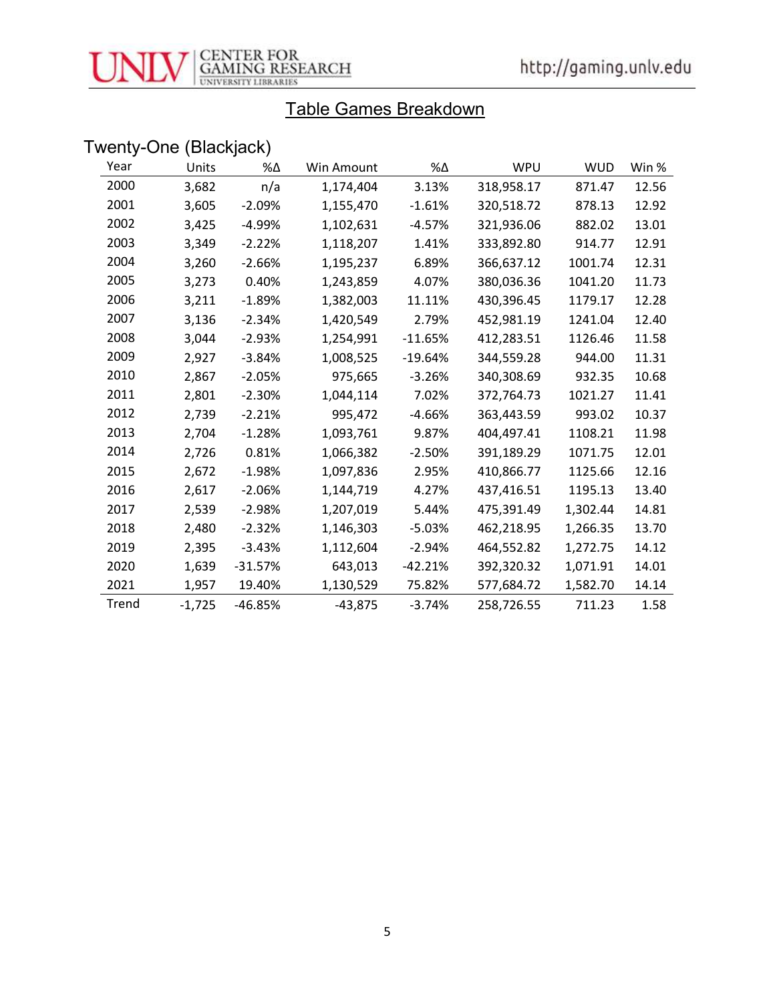

## Table Games Breakdown

# Twenty-One (Blackjack)

| Year  | Units    | %Δ        | Win Amount | %Δ        | WPU        | <b>WUD</b> | Win % |
|-------|----------|-----------|------------|-----------|------------|------------|-------|
| 2000  | 3,682    | n/a       | 1,174,404  | 3.13%     | 318,958.17 | 871.47     | 12.56 |
| 2001  | 3,605    | $-2.09%$  | 1,155,470  | $-1.61%$  | 320,518.72 | 878.13     | 12.92 |
| 2002  | 3,425    | $-4.99%$  | 1,102,631  | $-4.57%$  | 321,936.06 | 882.02     | 13.01 |
| 2003  | 3,349    | $-2.22%$  | 1,118,207  | 1.41%     | 333,892.80 | 914.77     | 12.91 |
| 2004  | 3,260    | $-2.66%$  | 1,195,237  | 6.89%     | 366,637.12 | 1001.74    | 12.31 |
| 2005  | 3,273    | 0.40%     | 1,243,859  | 4.07%     | 380,036.36 | 1041.20    | 11.73 |
| 2006  | 3,211    | $-1.89%$  | 1,382,003  | 11.11%    | 430,396.45 | 1179.17    | 12.28 |
| 2007  | 3,136    | $-2.34%$  | 1,420,549  | 2.79%     | 452,981.19 | 1241.04    | 12.40 |
| 2008  | 3,044    | $-2.93%$  | 1,254,991  | $-11.65%$ | 412,283.51 | 1126.46    | 11.58 |
| 2009  | 2,927    | $-3.84%$  | 1,008,525  | $-19.64%$ | 344,559.28 | 944.00     | 11.31 |
| 2010  | 2,867    | $-2.05%$  | 975,665    | $-3.26%$  | 340,308.69 | 932.35     | 10.68 |
| 2011  | 2,801    | $-2.30%$  | 1,044,114  | 7.02%     | 372,764.73 | 1021.27    | 11.41 |
| 2012  | 2,739    | $-2.21%$  | 995,472    | $-4.66%$  | 363,443.59 | 993.02     | 10.37 |
| 2013  | 2,704    | $-1.28%$  | 1,093,761  | 9.87%     | 404,497.41 | 1108.21    | 11.98 |
| 2014  | 2,726    | 0.81%     | 1,066,382  | $-2.50%$  | 391,189.29 | 1071.75    | 12.01 |
| 2015  | 2,672    | $-1.98%$  | 1,097,836  | 2.95%     | 410,866.77 | 1125.66    | 12.16 |
| 2016  | 2,617    | $-2.06%$  | 1,144,719  | 4.27%     | 437,416.51 | 1195.13    | 13.40 |
| 2017  | 2,539    | $-2.98%$  | 1,207,019  | 5.44%     | 475,391.49 | 1,302.44   | 14.81 |
| 2018  | 2,480    | $-2.32%$  | 1,146,303  | $-5.03%$  | 462,218.95 | 1,266.35   | 13.70 |
| 2019  | 2,395    | $-3.43%$  | 1,112,604  | $-2.94%$  | 464,552.82 | 1,272.75   | 14.12 |
| 2020  | 1,639    | $-31.57%$ | 643,013    | $-42.21%$ | 392,320.32 | 1,071.91   | 14.01 |
| 2021  | 1,957    | 19.40%    | 1,130,529  | 75.82%    | 577,684.72 | 1,582.70   | 14.14 |
| Trend | $-1,725$ | -46.85%   | $-43,875$  | $-3.74%$  | 258,726.55 | 711.23     | 1.58  |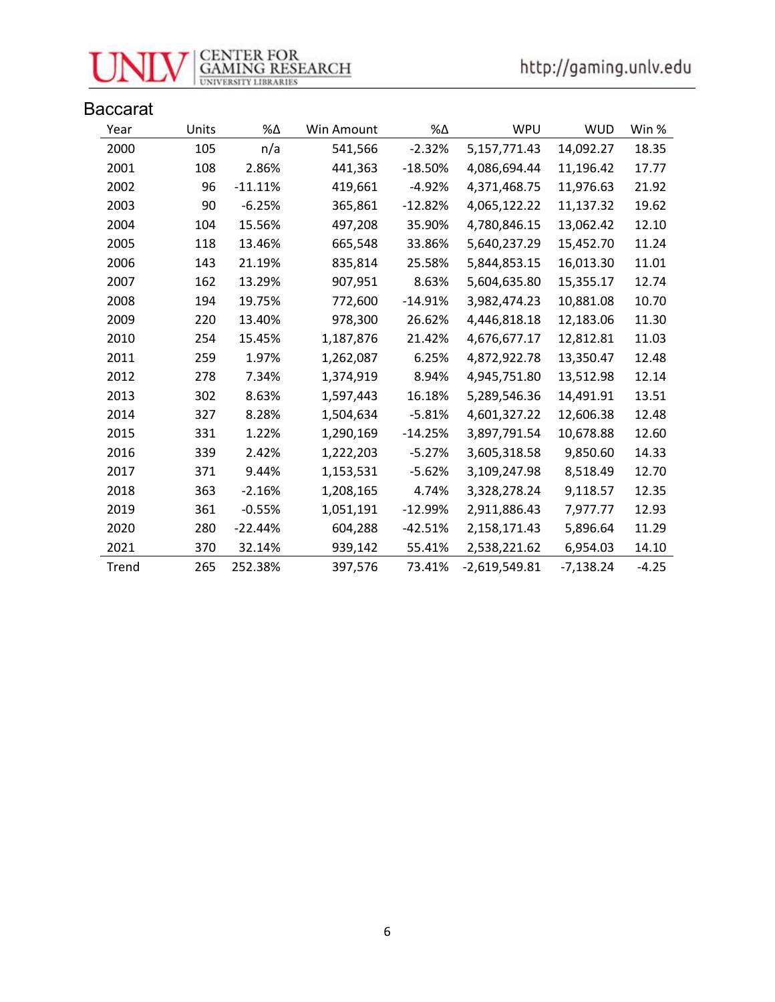

| <b>Baccarat</b> |       |            |            |           |                 |             |         |
|-----------------|-------|------------|------------|-----------|-----------------|-------------|---------|
| Year            | Units | $% \Delta$ | Win Amount | %Δ        | <b>WPU</b>      | <b>WUD</b>  | Win %   |
| 2000            | 105   | n/a        | 541,566    | $-2.32%$  | 5,157,771.43    | 14,092.27   | 18.35   |
| 2001            | 108   | 2.86%      | 441,363    | $-18.50%$ | 4,086,694.44    | 11,196.42   | 17.77   |
| 2002            | 96    | $-11.11%$  | 419,661    | $-4.92%$  | 4,371,468.75    | 11,976.63   | 21.92   |
| 2003            | 90    | $-6.25%$   | 365,861    | $-12.82%$ | 4,065,122.22    | 11,137.32   | 19.62   |
| 2004            | 104   | 15.56%     | 497,208    | 35.90%    | 4,780,846.15    | 13,062.42   | 12.10   |
| 2005            | 118   | 13.46%     | 665,548    | 33.86%    | 5,640,237.29    | 15,452.70   | 11.24   |
| 2006            | 143   | 21.19%     | 835,814    | 25.58%    | 5,844,853.15    | 16,013.30   | 11.01   |
| 2007            | 162   | 13.29%     | 907,951    | 8.63%     | 5,604,635.80    | 15,355.17   | 12.74   |
| 2008            | 194   | 19.75%     | 772,600    | $-14.91%$ | 3,982,474.23    | 10,881.08   | 10.70   |
| 2009            | 220   | 13.40%     | 978,300    | 26.62%    | 4,446,818.18    | 12,183.06   | 11.30   |
| 2010            | 254   | 15.45%     | 1,187,876  | 21.42%    | 4,676,677.17    | 12,812.81   | 11.03   |
| 2011            | 259   | 1.97%      | 1,262,087  | 6.25%     | 4,872,922.78    | 13,350.47   | 12.48   |
| 2012            | 278   | 7.34%      | 1,374,919  | 8.94%     | 4,945,751.80    | 13,512.98   | 12.14   |
| 2013            | 302   | 8.63%      | 1,597,443  | 16.18%    | 5,289,546.36    | 14,491.91   | 13.51   |
| 2014            | 327   | 8.28%      | 1,504,634  | $-5.81%$  | 4,601,327.22    | 12,606.38   | 12.48   |
| 2015            | 331   | 1.22%      | 1,290,169  | $-14.25%$ | 3,897,791.54    | 10,678.88   | 12.60   |
| 2016            | 339   | 2.42%      | 1,222,203  | $-5.27%$  | 3,605,318.58    | 9,850.60    | 14.33   |
| 2017            | 371   | 9.44%      | 1,153,531  | $-5.62%$  | 3,109,247.98    | 8,518.49    | 12.70   |
| 2018            | 363   | $-2.16%$   | 1,208,165  | 4.74%     | 3,328,278.24    | 9,118.57    | 12.35   |
| 2019            | 361   | $-0.55%$   | 1,051,191  | $-12.99%$ | 2,911,886.43    | 7,977.77    | 12.93   |
| 2020            | 280   | $-22.44%$  | 604,288    | $-42.51%$ | 2,158,171.43    | 5,896.64    | 11.29   |
| 2021            | 370   | 32.14%     | 939,142    | 55.41%    | 2,538,221.62    | 6,954.03    | 14.10   |
| Trend           | 265   | 252.38%    | 397,576    | 73.41%    | $-2,619,549.81$ | $-7,138.24$ | $-4.25$ |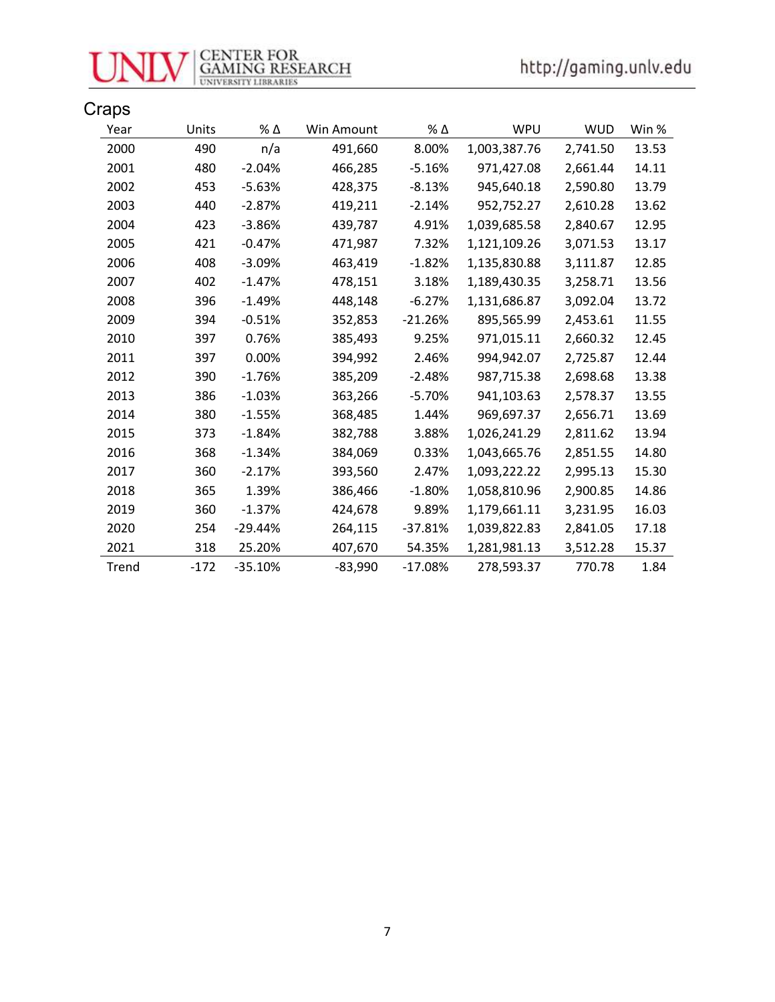

| Craps |        |               |            |           |              |            |       |
|-------|--------|---------------|------------|-----------|--------------|------------|-------|
| Year  | Units  | $\%$ $\Delta$ | Win Amount | % Δ       | WPU          | <b>WUD</b> | Win % |
| 2000  | 490    | n/a           | 491,660    | 8.00%     | 1,003,387.76 | 2,741.50   | 13.53 |
| 2001  | 480    | $-2.04%$      | 466,285    | $-5.16%$  | 971,427.08   | 2,661.44   | 14.11 |
| 2002  | 453    | $-5.63%$      | 428,375    | $-8.13%$  | 945,640.18   | 2,590.80   | 13.79 |
| 2003  | 440    | $-2.87%$      | 419,211    | $-2.14%$  | 952,752.27   | 2,610.28   | 13.62 |
| 2004  | 423    | $-3.86%$      | 439,787    | 4.91%     | 1,039,685.58 | 2,840.67   | 12.95 |
| 2005  | 421    | $-0.47%$      | 471,987    | 7.32%     | 1,121,109.26 | 3,071.53   | 13.17 |
| 2006  | 408    | $-3.09%$      | 463,419    | $-1.82%$  | 1,135,830.88 | 3,111.87   | 12.85 |
| 2007  | 402    | $-1.47%$      | 478,151    | 3.18%     | 1,189,430.35 | 3,258.71   | 13.56 |
| 2008  | 396    | $-1.49%$      | 448,148    | $-6.27%$  | 1,131,686.87 | 3,092.04   | 13.72 |
| 2009  | 394    | $-0.51%$      | 352,853    | $-21.26%$ | 895,565.99   | 2,453.61   | 11.55 |
| 2010  | 397    | 0.76%         | 385,493    | 9.25%     | 971,015.11   | 2,660.32   | 12.45 |
| 2011  | 397    | 0.00%         | 394,992    | 2.46%     | 994,942.07   | 2,725.87   | 12.44 |
| 2012  | 390    | $-1.76%$      | 385,209    | $-2.48%$  | 987,715.38   | 2,698.68   | 13.38 |
| 2013  | 386    | $-1.03%$      | 363,266    | $-5.70%$  | 941,103.63   | 2,578.37   | 13.55 |
| 2014  | 380    | $-1.55%$      | 368,485    | 1.44%     | 969,697.37   | 2,656.71   | 13.69 |
| 2015  | 373    | $-1.84%$      | 382,788    | 3.88%     | 1,026,241.29 | 2,811.62   | 13.94 |
| 2016  | 368    | $-1.34%$      | 384,069    | 0.33%     | 1,043,665.76 | 2,851.55   | 14.80 |
| 2017  | 360    | $-2.17%$      | 393,560    | 2.47%     | 1,093,222.22 | 2,995.13   | 15.30 |
| 2018  | 365    | 1.39%         | 386,466    | $-1.80%$  | 1,058,810.96 | 2,900.85   | 14.86 |
| 2019  | 360    | $-1.37%$      | 424,678    | 9.89%     | 1,179,661.11 | 3,231.95   | 16.03 |
| 2020  | 254    | $-29.44%$     | 264,115    | $-37.81%$ | 1,039,822.83 | 2,841.05   | 17.18 |
| 2021  | 318    | 25.20%        | 407,670    | 54.35%    | 1,281,981.13 | 3,512.28   | 15.37 |
| Trend | $-172$ | $-35.10%$     | $-83,990$  | $-17.08%$ | 278,593.37   | 770.78     | 1.84  |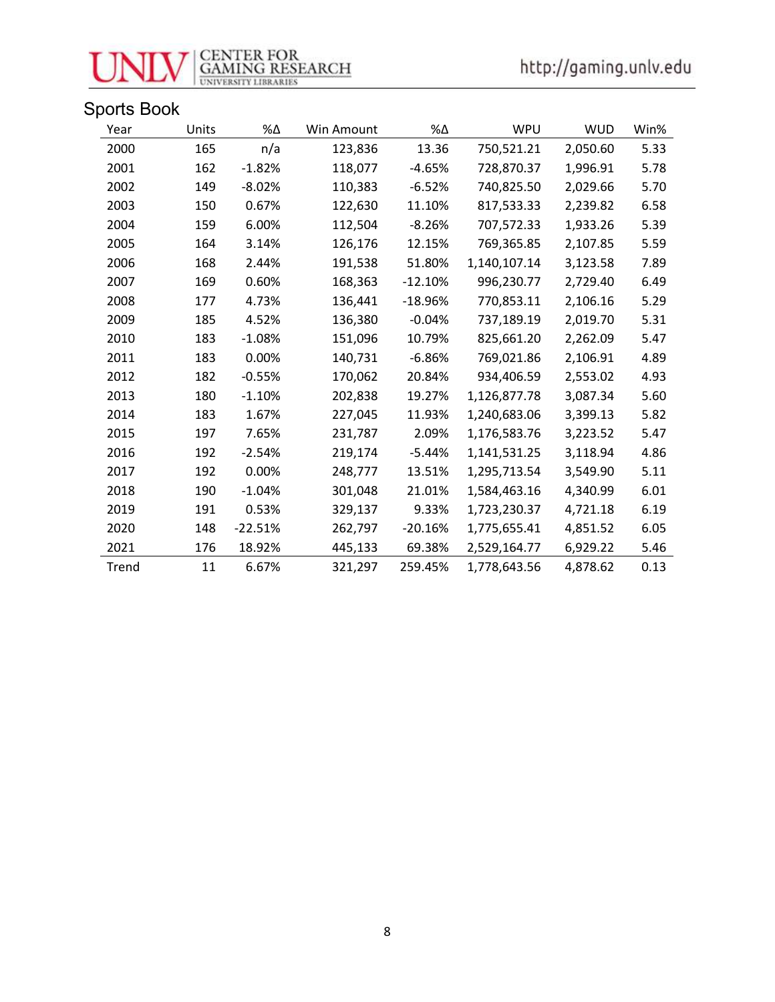

| Year  | Units | %Δ        | Win Amount | %Δ        | WPU          | <b>WUD</b> | Win% |
|-------|-------|-----------|------------|-----------|--------------|------------|------|
| 2000  | 165   | n/a       | 123,836    | 13.36     | 750,521.21   | 2,050.60   | 5.33 |
| 2001  | 162   | $-1.82%$  | 118,077    | $-4.65%$  | 728,870.37   | 1,996.91   | 5.78 |
| 2002  | 149   | $-8.02%$  | 110,383    | $-6.52%$  | 740,825.50   | 2,029.66   | 5.70 |
| 2003  | 150   | 0.67%     | 122,630    | 11.10%    | 817,533.33   | 2,239.82   | 6.58 |
| 2004  | 159   | 6.00%     | 112,504    | $-8.26%$  | 707,572.33   | 1,933.26   | 5.39 |
| 2005  | 164   | 3.14%     | 126,176    | 12.15%    | 769,365.85   | 2,107.85   | 5.59 |
| 2006  | 168   | 2.44%     | 191,538    | 51.80%    | 1,140,107.14 | 3,123.58   | 7.89 |
| 2007  | 169   | 0.60%     | 168,363    | $-12.10%$ | 996,230.77   | 2,729.40   | 6.49 |
| 2008  | 177   | 4.73%     | 136,441    | $-18.96%$ | 770,853.11   | 2,106.16   | 5.29 |
| 2009  | 185   | 4.52%     | 136,380    | $-0.04%$  | 737,189.19   | 2,019.70   | 5.31 |
| 2010  | 183   | $-1.08%$  | 151,096    | 10.79%    | 825,661.20   | 2,262.09   | 5.47 |
| 2011  | 183   | 0.00%     | 140,731    | $-6.86%$  | 769,021.86   | 2,106.91   | 4.89 |
| 2012  | 182   | $-0.55%$  | 170,062    | 20.84%    | 934,406.59   | 2,553.02   | 4.93 |
| 2013  | 180   | $-1.10%$  | 202,838    | 19.27%    | 1,126,877.78 | 3,087.34   | 5.60 |
| 2014  | 183   | 1.67%     | 227,045    | 11.93%    | 1,240,683.06 | 3,399.13   | 5.82 |
| 2015  | 197   | 7.65%     | 231,787    | 2.09%     | 1,176,583.76 | 3,223.52   | 5.47 |
| 2016  | 192   | $-2.54%$  | 219,174    | -5.44%    | 1,141,531.25 | 3,118.94   | 4.86 |
| 2017  | 192   | 0.00%     | 248,777    | 13.51%    | 1,295,713.54 | 3,549.90   | 5.11 |
| 2018  | 190   | $-1.04%$  | 301,048    | 21.01%    | 1,584,463.16 | 4,340.99   | 6.01 |
| 2019  | 191   | 0.53%     | 329,137    | 9.33%     | 1,723,230.37 | 4,721.18   | 6.19 |
| 2020  | 148   | $-22.51%$ | 262,797    | $-20.16%$ | 1,775,655.41 | 4,851.52   | 6.05 |
| 2021  | 176   | 18.92%    | 445,133    | 69.38%    | 2,529,164.77 | 6,929.22   | 5.46 |
| Trend | 11    | 6.67%     | 321,297    | 259.45%   | 1,778,643.56 | 4,878.62   | 0.13 |